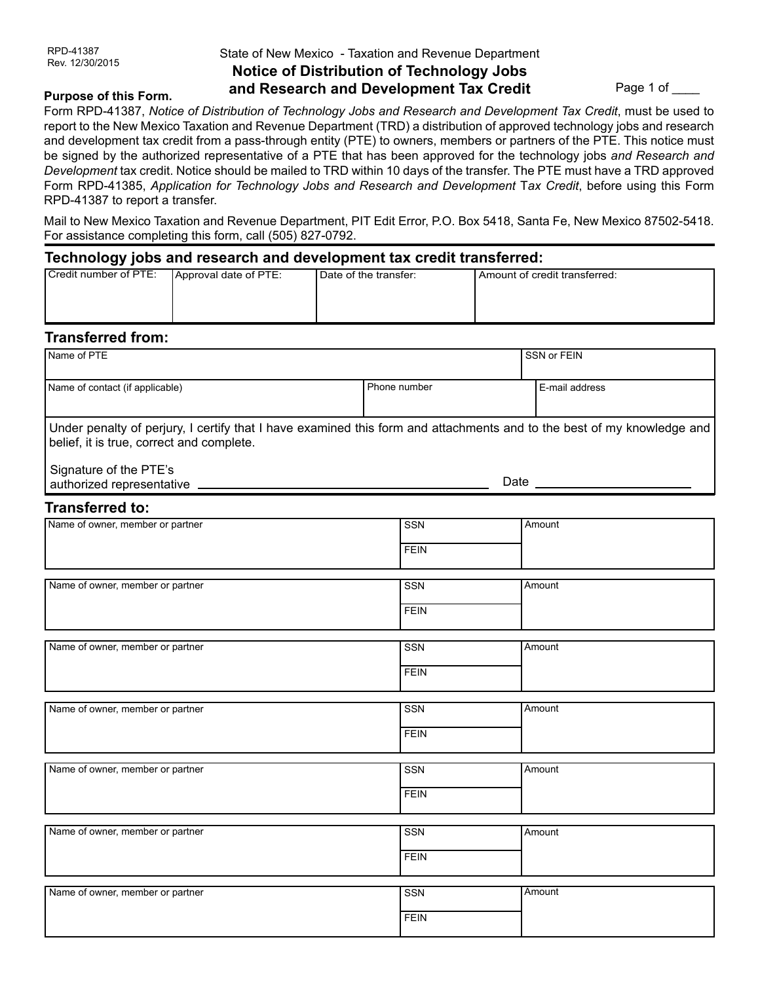**Purpose of this Form.**

### State of New Mexico - Taxation and Revenue Department **Notice of Distribution of Technology Jobs and Research and Development Tax Credit**

Page 1 of \_\_\_\_\_

#### Form RPD-41387, *Notice of Distribution of Technology Jobs and Research and Development Tax Credit*, must be used to report to the New Mexico Taxation and Revenue Department (TRD) a distribution of approved technology jobs and research and development tax credit from a pass-through entity (PTE) to owners, members or partners of the PTE. This notice must be signed by the authorized representative of a PTE that has been approved for the technology jobs *and Research and Development* tax credit. Notice should be mailed to TRD within 10 days of the transfer. The PTE must have a TRD approved Form RPD-41385, *Application for Technology Jobs and Research and Development* T*ax Credit*, before using this Form RPD-41387 to report a transfer.

Mail to New Mexico Taxation and Revenue Department, PIT Edit Error, P.O. Box 5418, Santa Fe, New Mexico 87502-5418. For assistance completing this form, call (505) 827-0792.

#### **Technology jobs and research and development tax credit transferred:**

| ---                   |                       |                       |                                 |
|-----------------------|-----------------------|-----------------------|---------------------------------|
| Credit number of PTE: | Approval date of PTE: | Date of the transfer: | l Amount of credit transferred: |
|                       |                       |                       |                                 |
|                       |                       |                       |                                 |
|                       |                       |                       |                                 |
|                       |                       |                       |                                 |

## **Transferred from:**

| Name of PTE                                                                                                                                                         | SSN or FEIN  |                |
|---------------------------------------------------------------------------------------------------------------------------------------------------------------------|--------------|----------------|
| Name of contact (if applicable)                                                                                                                                     | Phone number | E-mail address |
| Under penalty of perjury, I certify that I have examined this form and attachments and to the best of my knowledge and<br>belief, it is true, correct and complete. |              |                |
| Signature of the PTE's                                                                                                                                              |              |                |
| <b>Transferred to:</b>                                                                                                                                              |              |                |
| Name of owner, member or partner                                                                                                                                    | <b>SSN</b>   | Amount         |
|                                                                                                                                                                     | <b>FEIN</b>  |                |
| Name of owner, member or partner                                                                                                                                    | SSN          | Amount         |
|                                                                                                                                                                     | <b>FEIN</b>  |                |
| Name of owner, member or partner                                                                                                                                    | <b>SSN</b>   | Amount         |
|                                                                                                                                                                     | <b>FEIN</b>  |                |
| Name of owner, member or partner                                                                                                                                    | <b>SSN</b>   | Amount         |
|                                                                                                                                                                     | <b>FEIN</b>  |                |
| Name of owner, member or partner                                                                                                                                    | SSN          | Amount         |
|                                                                                                                                                                     | <b>FEIN</b>  |                |
|                                                                                                                                                                     |              |                |
| Name of owner, member or partner                                                                                                                                    | <b>SSN</b>   | Amount         |
|                                                                                                                                                                     | <b>FEIN</b>  |                |
| Name of owner, member or partner                                                                                                                                    | <b>SSN</b>   | Amount         |

**FEIN**